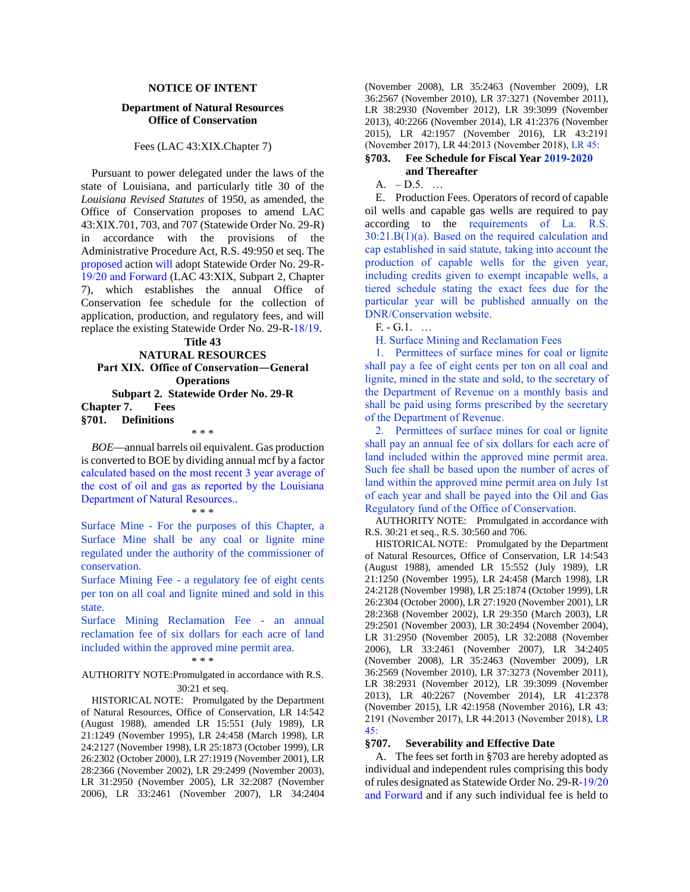# **NOTICE OF INTENT**

## **Department of Natural Resources Office of Conservation**

## Fees (LAC 43:XIX.Chapter 7)

Pursuant to power delegated under the laws of the state of Louisiana, and particularly title 30 of the *Louisiana Revised Statutes* of 1950, as amended, the Office of Conservation proposes to amend LAC 43:XIX.701, 703, and 707 (Statewide Order No. 29-R) in accordance with the provisions of the Administrative Procedure Act, R.S. 49:950 et seq. The proposed action will adopt Statewide Order No. 29-R-19/20 and Forward (LAC 43:XIX, Subpart 2, Chapter 7), which establishes the annual Office of Conservation fee schedule for the collection of application, production, and regulatory fees, and will replace the existing Statewide Order No. 29-R-18/19.

**Title 43 NATURAL RESOURCES Part XIX. Office of Conservation―General Operations Subpart 2. Statewide Order No. 29-R Chapter 7. Fees §701. Definitions**

*BOE*—annual barrels oil equivalent. Gas production is converted to BOE by dividing annual mcf by a factor calculated based on the most recent 3 year average of the cost of oil and gas as reported by the Louisiana Department of Natural Resources..

\* \* \*

#### \* \* \*

Surface Mine - For the purposes of this Chapter, a Surface Mine shall be any coal or lignite mine regulated under the authority of the commissioner of conservation.

Surface Mining Fee - a regulatory fee of eight cents per ton on all coal and lignite mined and sold in this state.

Surface Mining Reclamation Fee - an annual reclamation fee of six dollars for each acre of land included within the approved mine permit area.

# \* \* \*

## AUTHORITY NOTE:Promulgated in accordance with R.S. 30:21 et seq.

HISTORICAL NOTE: Promulgated by the Department of Natural Resources, Office of Conservation, LR 14:542 (August 1988), amended LR 15:551 (July 1989), LR 21:1249 (November 1995), LR 24:458 (March 1998), LR 24:2127 (November 1998), LR 25:1873 (October 1999), LR 26:2302 (October 2000), LR 27:1919 (November 2001), LR 28:2366 (November 2002), LR 29:2499 (November 2003), LR 31:2950 (November 2005), LR 32:2087 (November 2006), LR 33:2461 (November 2007), LR 34:2404

(November 2008), LR 35:2463 (November 2009), LR 36:2567 (November 2010), LR 37:3271 (November 2011), LR 38:2930 (November 2012), LR 39:3099 (November 2013), 40:2266 (November 2014), LR 41:2376 (November 2015), LR 42:1957 (November 2016), LR 43:2191 (November 2017), LR 44:2013 (November 2018), LR 45:

# **§703. Fee Schedule for Fiscal Year 2019-2020 and Thereafter**

A. – D.5. …

E. Production Fees. Operators of record of capable oil wells and capable gas wells are required to pay according to the requirements of La. R.S.  $30:21.B(1)(a)$ . Based on the required calculation and cap established in said statute, taking into account the production of capable wells for the given year, including credits given to exempt incapable wells, a tiered schedule stating the exact fees due for the particular year will be published annually on the DNR/Conservation website.

F. - G.1. …

H. Surface Mining and Reclamation Fees

1. Permittees of surface mines for coal or lignite shall pay a fee of eight cents per ton on all coal and lignite, mined in the state and sold, to the secretary of the Department of Revenue on a monthly basis and shall be paid using forms prescribed by the secretary of the Department of Revenue.

2. Permittees of surface mines for coal or lignite shall pay an annual fee of six dollars for each acre of land included within the approved mine permit area. Such fee shall be based upon the number of acres of land within the approved mine permit area on July 1st of each year and shall be payed into the Oil and Gas Regulatory fund of the Office of Conservation.

AUTHORITY NOTE: Promulgated in accordance with R.S. 30:21 et seq., R.S. 30:560 and 706.

HISTORICAL NOTE: Promulgated by the Department of Natural Resources, Office of Conservation, LR 14:543 (August 1988), amended LR 15:552 (July 1989), LR 21:1250 (November 1995), LR 24:458 (March 1998), LR 24:2128 (November 1998), LR 25:1874 (October 1999), LR 26:2304 (October 2000), LR 27:1920 (November 2001), LR 28:2368 (November 2002), LR 29:350 (March 2003), LR 29:2501 (November 2003), LR 30:2494 (November 2004), LR 31:2950 (November 2005), LR 32:2088 (November 2006), LR 33:2461 (November 2007), LR 34:2405 (November 2008), LR 35:2463 (November 2009), LR 36:2569 (November 2010), LR 37:3273 (November 2011), LR 38:2931 (November 2012), LR 39:3099 (November 2013), LR 40:2267 (November 2014), LR 41:2378 (November 2015), LR 42:1958 (November 2016), LR 43: 2191 (November 2017), LR 44:2013 (November 2018), LR 45:

### **§707. Severability and Effective Date**

A. The fees set forth in §703 are hereby adopted as individual and independent rules comprising this body of rules designated as Statewide Order No. 29-R-19/20 and Forward and if any such individual fee is held to